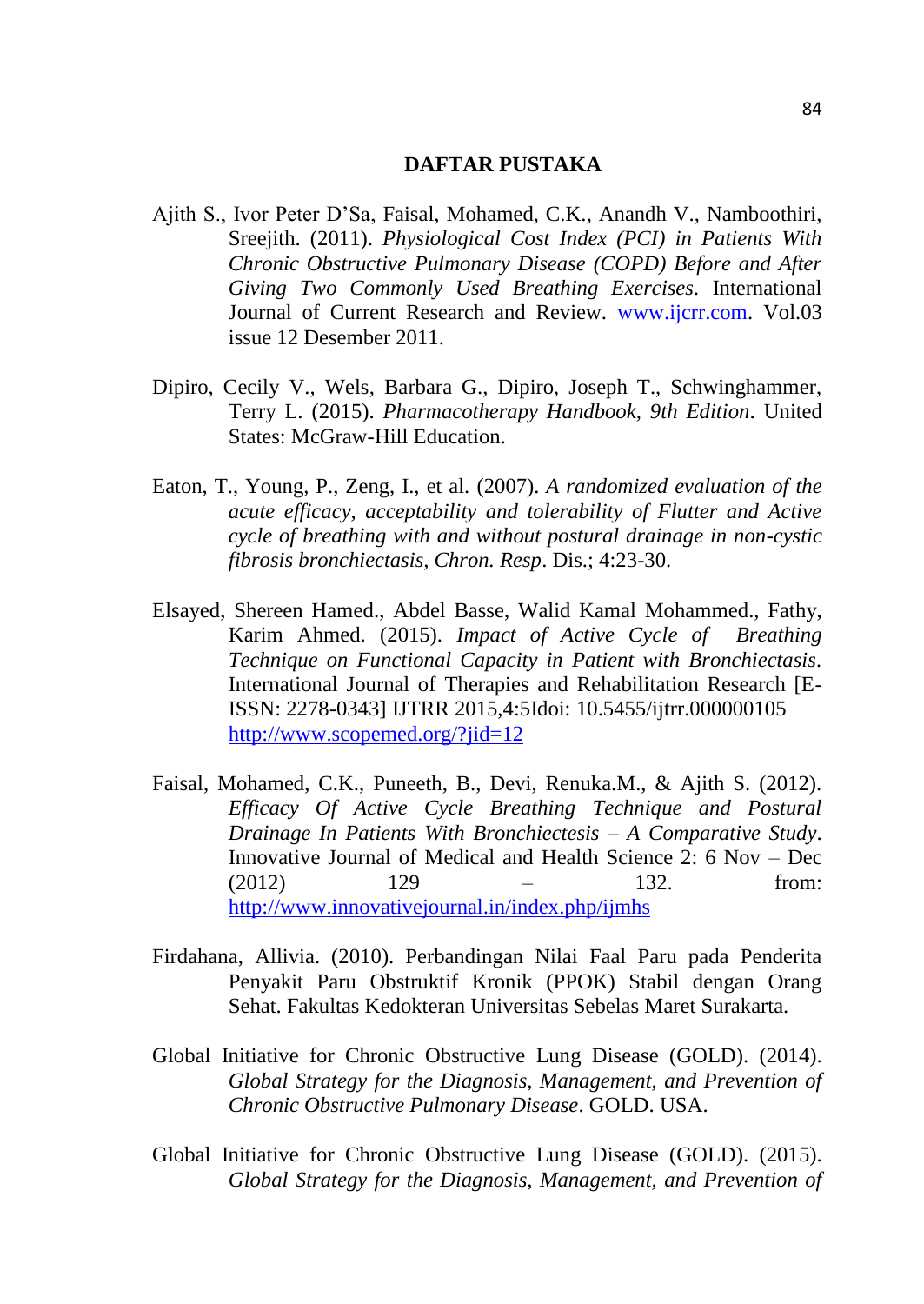## **DAFTAR PUSTAKA**

- Ajith S., Ivor Peter D'Sa, Faisal, Mohamed, C.K., Anandh V., Namboothiri, Sreejith. (2011). *Physiological Cost Index (PCI) in Patients With Chronic Obstructive Pulmonary Disease (COPD) Before and After Giving Two Commonly Used Breathing Exercises.* International Journal of Current Research and Review. [www.ijcrr.com.](http://www.ijcrr.com/) Vol.03 issue 12 Desember 2011.
- Dipiro, Cecily V., Wels, Barbara G., Dipiro, Joseph T., Schwinghammer, Terry L. (2015). *Pharmacotherapy Handbook, 9th Edition*. United States: McGraw-Hill Education.
- Eaton, T., Young, P., Zeng, I., et al. (2007). *A randomized evaluation of the acute efficacy, acceptability and tolerability of Flutter and Active cycle of breathing with and without postural drainage in non-cystic fibrosis bronchiectasis, Chron. Resp*. Dis.; 4:23-30.
- Elsayed, Shereen Hamed., Abdel Basse, Walid Kamal Mohammed., Fathy, Karim Ahmed. (2015). *Impact of Active Cycle of Breathing Technique on Functional Capacity in Patient with Bronchiectasis.* International Journal of Therapies and Rehabilitation Research [E-ISSN: 2278-0343] IJTRR 2015,4:5Idoi: 10.5455/ijtrr.000000105 <http://www.scopemed.org/?jid=12>
- Faisal, Mohamed, C.K., Puneeth, B., Devi, Renuka.M., & Ajith S. (2012). *Efficacy Of Active Cycle Breathing Technique and Postural Drainage In Patients With Bronchiectesis – A Comparative Study*. Innovative Journal of Medical and Health Science 2: 6 Nov – Dec (2012) 129 – 132. from: <http://www.innovativejournal.in/index.php/ijmhs>
- Firdahana, Allivia. (2010). Perbandingan Nilai Faal Paru pada Penderita Penyakit Paru Obstruktif Kronik (PPOK) Stabil dengan Orang Sehat. Fakultas Kedokteran Universitas Sebelas Maret Surakarta.
- Global Initiative for Chronic Obstructive Lung Disease (GOLD). (2014). *Global Strategy for the Diagnosis, Management, and Prevention of Chronic Obstructive Pulmonary Disease*. GOLD. USA.
- Global Initiative for Chronic Obstructive Lung Disease (GOLD). (2015). *Global Strategy for the Diagnosis, Management, and Prevention of*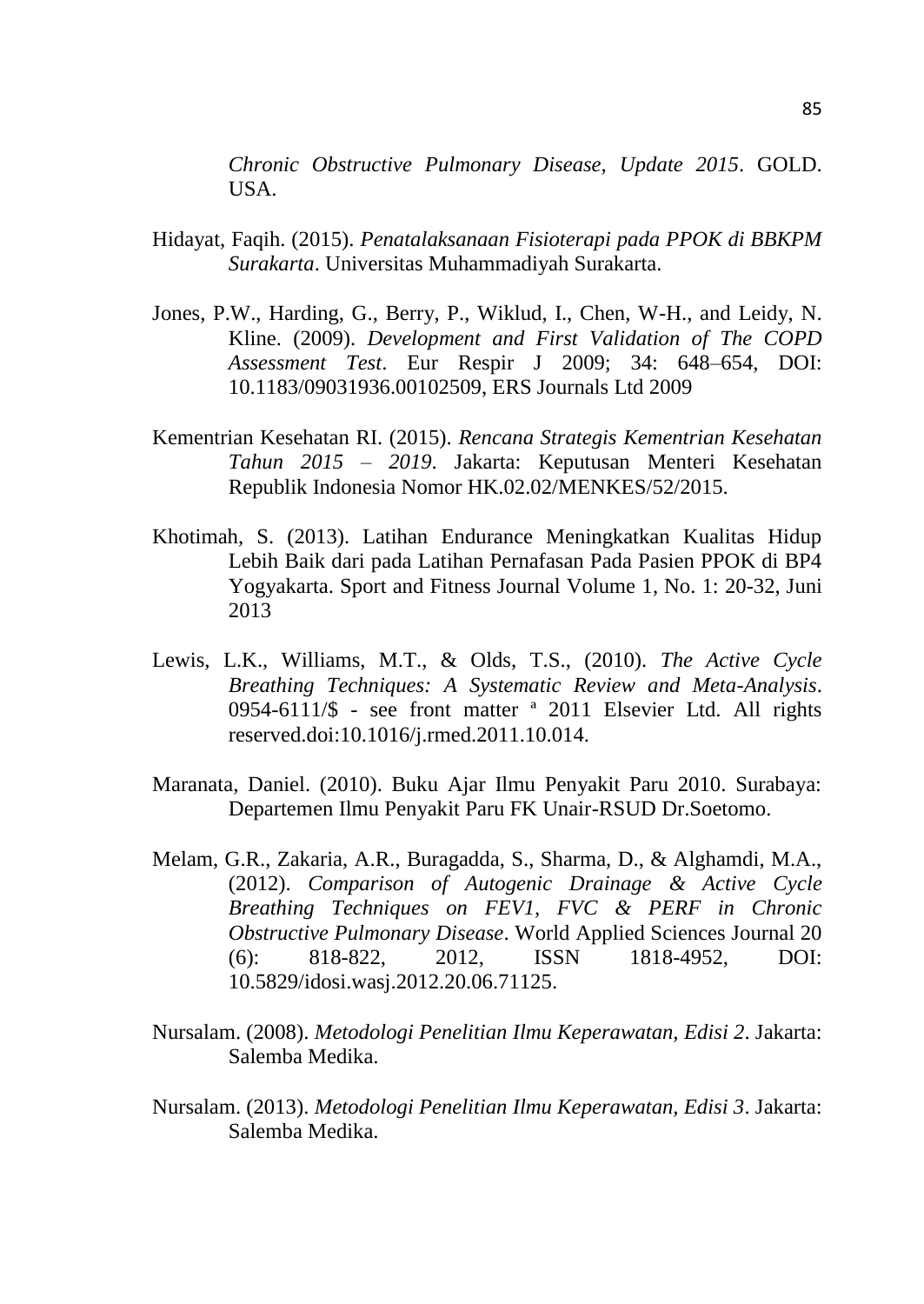*Chronic Obstructive Pulmonary Disease, Update 2015*. GOLD. USA.

- Hidayat, Faqih. (2015). *Penatalaksanaan Fisioterapi pada PPOK di BBKPM Surakarta*. Universitas Muhammadiyah Surakarta.
- Jones, P.W., Harding, G., Berry, P., Wiklud, I., Chen, W-H., and Leidy, N. Kline. (2009). *Development and First Validation of The COPD Assessment Test*. Eur Respir J 2009; 34: 648–654, DOI: 10.1183/09031936.00102509, ERS Journals Ltd 2009
- Kementrian Kesehatan RI. (2015). *Rencana Strategis Kementrian Kesehatan Tahun 2015 – 2019*. Jakarta: Keputusan Menteri Kesehatan Republik Indonesia Nomor HK.02.02/MENKES/52/2015.
- Khotimah, S. (2013). Latihan Endurance Meningkatkan Kualitas Hidup Lebih Baik dari pada Latihan Pernafasan Pada Pasien PPOK di BP4 Yogyakarta. Sport and Fitness Journal Volume 1, No. 1: 20-32, Juni 2013
- Lewis, L.K., Williams, M.T., & Olds, T.S., (2010). *The Active Cycle Breathing Techniques: A Systematic Review and Meta-Analysis*. 0954-6111/\$ - see front matter ª 2011 Elsevier Ltd. All rights reserved.doi:10.1016/j.rmed.2011.10.014.
- Maranata, Daniel. (2010). Buku Ajar Ilmu Penyakit Paru 2010. Surabaya: Departemen Ilmu Penyakit Paru FK Unair-RSUD Dr.Soetomo.
- Melam, G.R., Zakaria, A.R., Buragadda, S., Sharma, D., & Alghamdi, M.A., (2012). *Comparison of Autogenic Drainage & Active Cycle Breathing Techniques on FEV1, FVC & PERF in Chronic Obstructive Pulmonary Disease*. World Applied Sciences Journal 20 (6): 818-822, 2012, ISSN 1818-4952, DOI: 10.5829/idosi.wasj.2012.20.06.71125.
- Nursalam. (2008). *Metodologi Penelitian Ilmu Keperawatan, Edisi 2*. Jakarta: Salemba Medika.
- Nursalam. (2013). *Metodologi Penelitian Ilmu Keperawatan, Edisi 3*. Jakarta: Salemba Medika.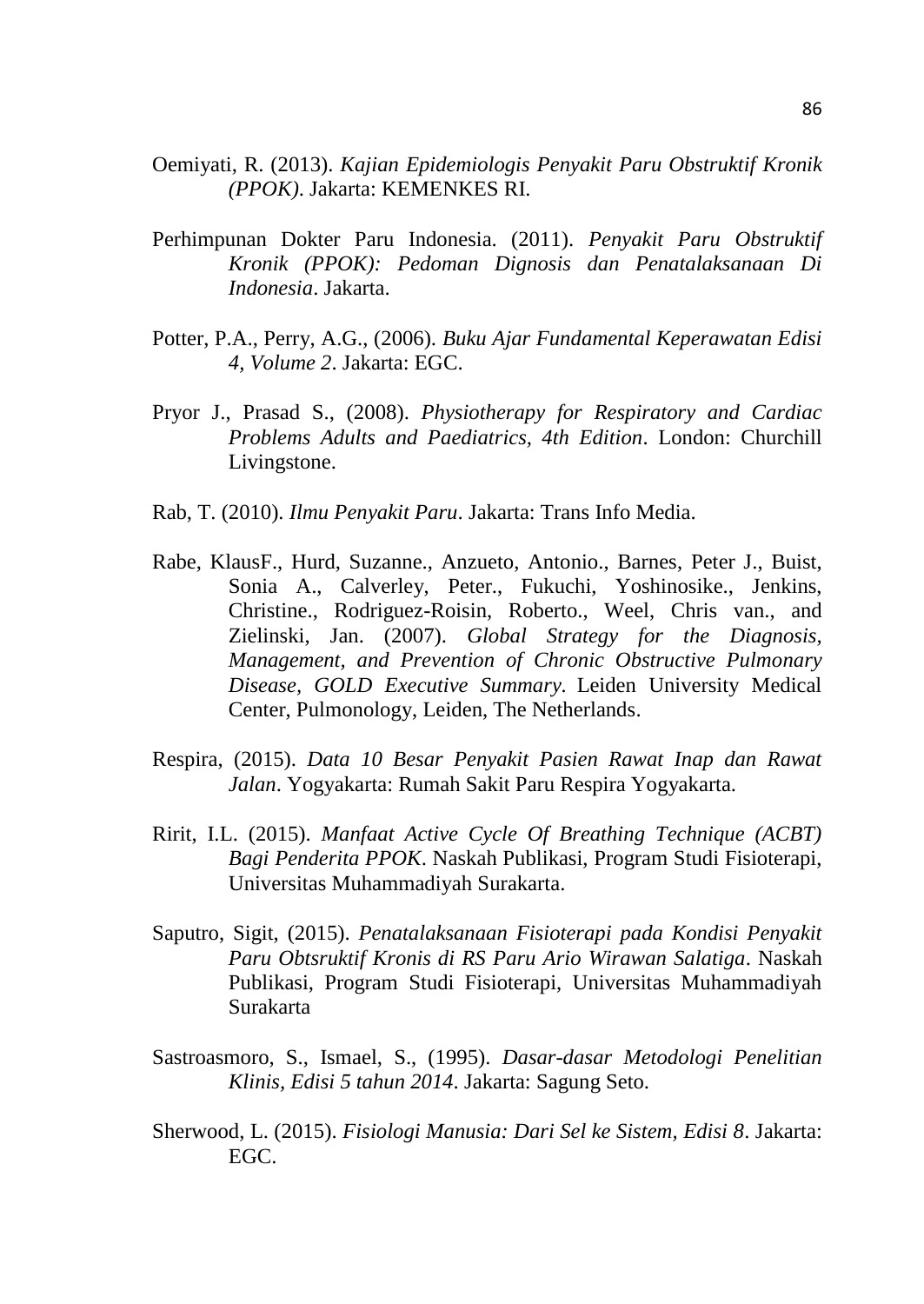- Oemiyati, R. (2013). *Kajian Epidemiologis Penyakit Paru Obstruktif Kronik (PPOK)*. Jakarta: KEMENKES RI.
- Perhimpunan Dokter Paru Indonesia. (2011). *Penyakit Paru Obstruktif Kronik (PPOK): Pedoman Dignosis dan Penatalaksanaan Di Indonesia*. Jakarta.
- Potter, P.A., Perry, A.G., (2006). *Buku Ajar Fundamental Keperawatan Edisi 4, Volume 2*. Jakarta: EGC.
- Pryor J., Prasad S., (2008). *Physiotherapy for Respiratory and Cardiac Problems Adults and Paediatrics, 4th Edition*. London: Churchill Livingstone.
- Rab, T. (2010). *Ilmu Penyakit Paru*. Jakarta: Trans Info Media.
- Rabe, KlausF., Hurd, Suzanne., Anzueto, Antonio., Barnes, Peter J., Buist, Sonia A., Calverley, Peter., Fukuchi, Yoshinosike., Jenkins, Christine., Rodriguez-Roisin, Roberto., Weel, Chris van., and Zielinski, Jan. (2007). *Global Strategy for the Diagnosis, Management, and Prevention of Chronic Obstructive Pulmonary Disease, GOLD Executive Summary.* Leiden University Medical Center, Pulmonology, Leiden, The Netherlands.
- Respira, (2015). *Data 10 Besar Penyakit Pasien Rawat Inap dan Rawat Jalan*. Yogyakarta: Rumah Sakit Paru Respira Yogyakarta.
- Ririt, I.L. (2015). *Manfaat Active Cycle Of Breathing Technique (ACBT) Bagi Penderita PPOK*. Naskah Publikasi, Program Studi Fisioterapi, Universitas Muhammadiyah Surakarta.
- Saputro, Sigit, (2015). *Penatalaksanaan Fisioterapi pada Kondisi Penyakit Paru Obtsruktif Kronis di RS Paru Ario Wirawan Salatiga*. Naskah Publikasi, Program Studi Fisioterapi, Universitas Muhammadiyah Surakarta
- Sastroasmoro, S., Ismael, S., (1995). *Dasar-dasar Metodologi Penelitian Klinis, Edisi 5 tahun 2014*. Jakarta: Sagung Seto.
- Sherwood, L. (2015). *Fisiologi Manusia: Dari Sel ke Sistem, Edisi 8*. Jakarta: EGC.